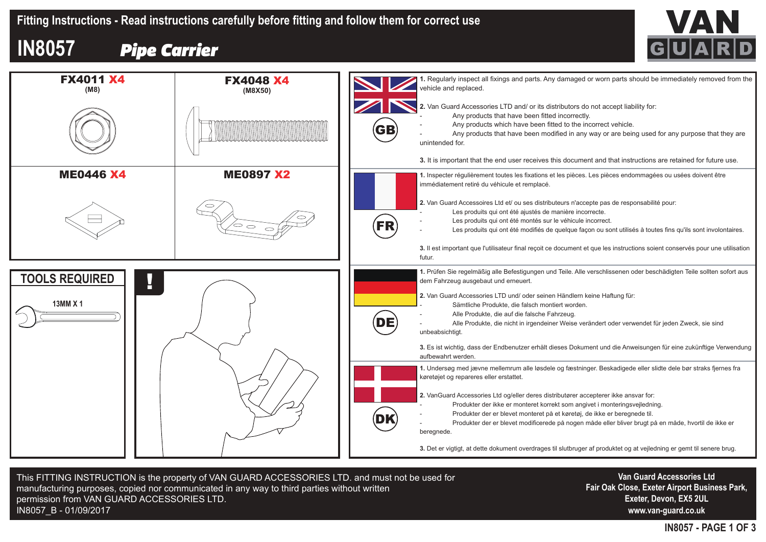

## **IN8057** *Pipe Carrier*



This FITTING INSTRUCTION is the property of VAN GUARD ACCESSORIES LTD. and must not be used for manufacturing purposes, copied nor communicated in any way to third parties without written permission from VAN GUARD ACCESSORIES LTD. IN8057\_B - 01/09/2017

**Van Guard Accessories Ltd Fair Oak Close, Exeter Airport Business Park, Exeter, Devon, EX5 2UL www.van-guard.co.uk**

**IN8057 - PAGE 1 OF 3**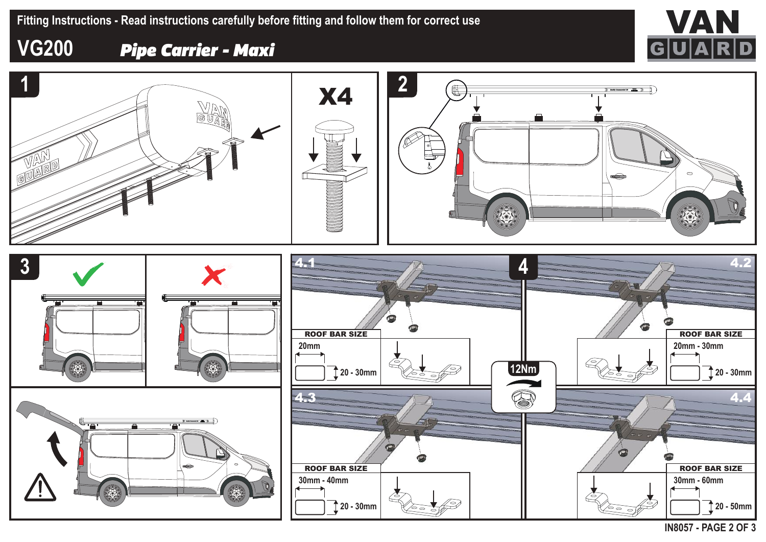

## **VG200** *Pipe Carrier - Maxi*



**IN8057 - PAGE 2 OF 3**